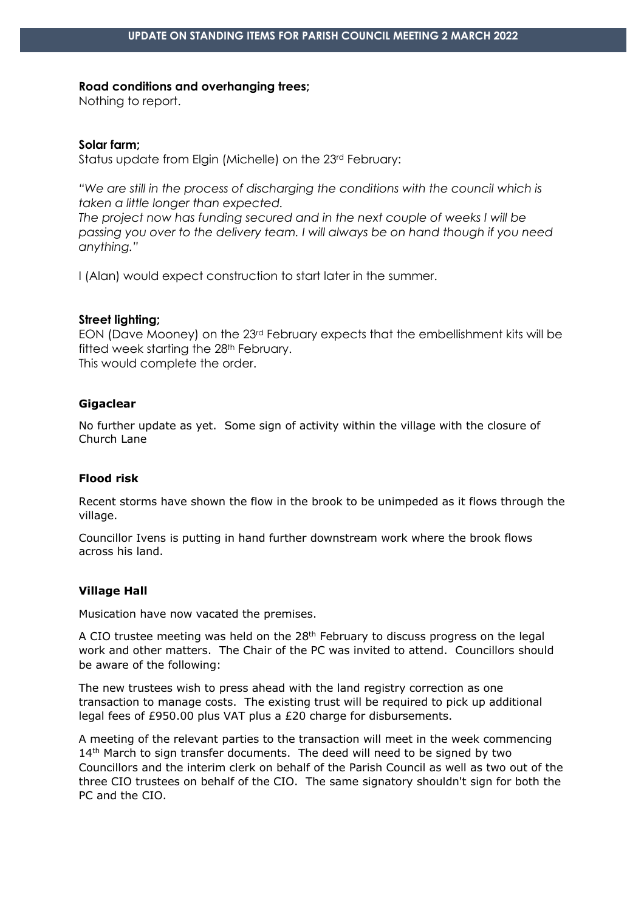#### **Road conditions and overhanging trees;**

Nothing to report.

### **Solar farm;**

Status update from Elgin (Michelle) on the 23rd February:

*"We are still in the process of discharging the conditions with the council which is taken a little longer than expected.*

*The project now has funding secured and in the next couple of weeks I will be passing you over to the delivery team. I will always be on hand though if you need anything."*

I (Alan) would expect construction to start later in the summer.

#### **Street lighting;**

EON (Dave Mooney) on the 23rd February expects that the embellishment kits will be fitted week starting the 28<sup>th</sup> February. This would complete the order.

### **Gigaclear**

No further update as yet. Some sign of activity within the village with the closure of Church Lane

## **Flood risk**

Recent storms have shown the flow in the brook to be unimpeded as it flows through the village.

Councillor Ivens is putting in hand further downstream work where the brook flows across his land.

# **Village Hall**

Musication have now vacated the premises.

A CIO trustee meeting was held on the  $28<sup>th</sup>$  February to discuss progress on the legal work and other matters. The Chair of the PC was invited to attend. Councillors should be aware of the following:

The new trustees wish to press ahead with the land registry correction as one transaction to manage costs. The existing trust will be required to pick up additional legal fees of £950.00 plus VAT plus a £20 charge for disbursements.

A meeting of the relevant parties to the transaction will meet in the week commencing 14<sup>th</sup> March to sign transfer documents. The deed will need to be signed by two Councillors and the interim clerk on behalf of the Parish Council as well as two out of the three CIO trustees on behalf of the CIO. The same signatory shouldn't sign for both the PC and the CIO.